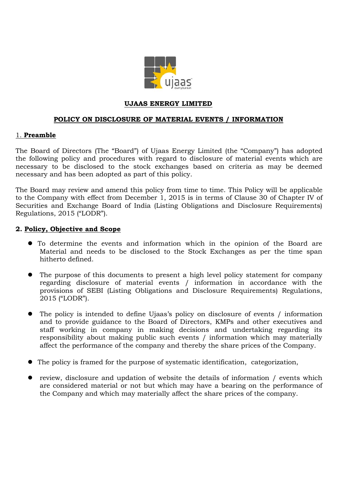

#### **UJAAS ENERGY LIMITED**

#### **POLICY ON DISCLOSURE OF MATERIAL EVENTS / INFORMATION**

#### 1. **Preamble**

The Board of Directors (The "Board") of Ujaas Energy Limited (the "Company") has adopted the following policy and procedures with regard to disclosure of material events which are necessary to be disclosed to the stock exchanges based on criteria as may be deemed necessary and has been adopted as part of this policy.

The Board may review and amend this policy from time to time. This Policy will be applicable to the Company with effect from December 1, 2015 is in terms of Clause 30 of Chapter IV of Securities and Exchange Board of India (Listing Obligations and Disclosure Requirements) Regulations, 2015 ("LODR").

#### **2. Policy, Objective and Scope**

- To determine the events and information which in the opinion of the Board are Material and needs to be disclosed to the Stock Exchanges as per the time span hitherto defined.
- The purpose of this documents to present a high level policy statement for company regarding disclosure of material events / information in accordance with the provisions of SEBI (Listing Obligations and Disclosure Requirements) Regulations, 2015 ("LODR").
- The policy is intended to define Ujaas's policy on disclosure of events / information and to provide guidance to the Board of Directors, KMPs and other executives and staff working in company in making decisions and undertaking regarding its responsibility about making public such events / information which may materially affect the performance of the company and thereby the share prices of the Company.
- The policy is framed for the purpose of systematic identification, categorization,
- z review, disclosure and updation of website the details of information / events which are considered material or not but which may have a bearing on the performance of the Company and which may materially affect the share prices of the company.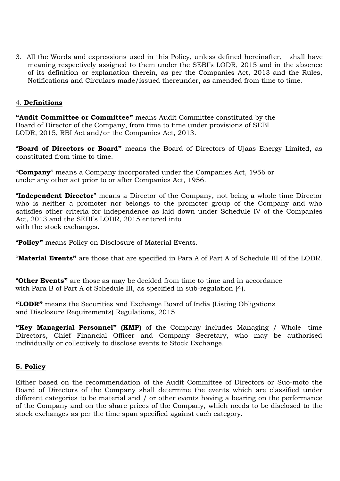3. All the Words and expressions used in this Policy, unless defined hereinafter, shall have meaning respectively assigned to them under the SEBI's LODR, 2015 and in the absence of its definition or explanation therein, as per the Companies Act, 2013 and the Rules, Notifications and Circulars made/issued thereunder, as amended from time to time.

### 4. **Definitions**

**"Audit Committee or Committee"** means Audit Committee constituted by the Board of Director of the Company, from time to time under provisions of SEBI LODR, 2015, RBI Act and/or the Companies Act, 2013.

"**Board of Directors or Board"** means the Board of Directors of Ujaas Energy Limited, as constituted from time to time.

"**Company**" means a Company incorporated under the Companies Act, 1956 or under any other act prior to or after Companies Act, 1956.

"**Independent Director**" means a Director of the Company, not being a whole time Director who is neither a promoter nor belongs to the promoter group of the Company and who satisfies other criteria for independence as laid down under Schedule IV of the Companies Act, 2013 and the SEBI's LODR, 2015 entered into with the stock exchanges.

"**Policy"** means Policy on Disclosure of Material Events.

"**Material Events"** are those that are specified in Para A of Part A of Schedule III of the LODR.

"**Other Events"** are those as may be decided from time to time and in accordance with Para B of Part A of Schedule III, as specified in sub-regulation (4).

**"LODR"** means the Securities and Exchange Board of India (Listing Obligations and Disclosure Requirements) Regulations, 2015

**"Key Managerial Personnel" (KMP)** of the Company includes Managing / Whole- time Directors, Chief Financial Officer and Company Secretary, who may be authorised individually or collectively to disclose events to Stock Exchange.

# **5. Policy**

Either based on the recommendation of the Audit Committee of Directors or Suo-moto the Board of Directors of the Company shall determine the events which are classified under different categories to be material and / or other events having a bearing on the performance of the Company and on the share prices of the Company, which needs to be disclosed to the stock exchanges as per the time span specified against each category.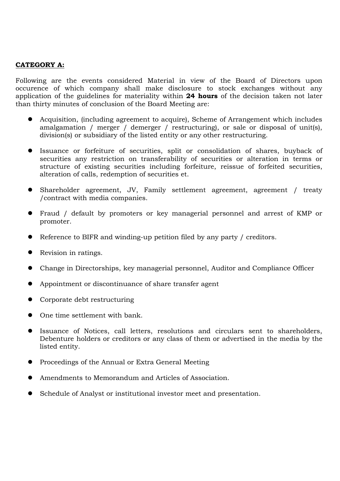#### **CATEGORY A:**

Following are the events considered Material in view of the Board of Directors upon occurence of which company shall make disclosure to stock exchanges without any application of the guidelines for materiality within **24 hours** of the decision taken not later than thirty minutes of conclusion of the Board Meeting are:

- Acquisition, (including agreement to acquire), Scheme of Arrangement which includes amalgamation / merger / demerger / restructuring), or sale or disposal of unit(s), division(s) or subsidiary of the listed entity or any other restructuring.
- z Issuance or forfeiture of securities, split or consolidation of shares, buyback of securities any restriction on transferability of securities or alteration in terms or structure of existing securities including forfeiture, reissue of forfeited securities, alteration of calls, redemption of securities et.
- Shareholder agreement, JV, Family settlement agreement, agreement / treaty /contract with media companies.
- Fraud / default by promoters or key managerial personnel and arrest of KMP or promoter.
- $\bullet$  Reference to BIFR and winding-up petition filed by any party / creditors.
- $\bullet$  Revision in ratings.
- Change in Directorships, key managerial personnel, Auditor and Compliance Officer
- Appointment or discontinuance of share transfer agent
- Corporate debt restructuring
- $\bullet$  One time settlement with bank.
- Issuance of Notices, call letters, resolutions and circulars sent to shareholders, Debenture holders or creditors or any class of them or advertised in the media by the listed entity.
- Proceedings of the Annual or Extra General Meeting
- Amendments to Memorandum and Articles of Association.
- Schedule of Analyst or institutional investor meet and presentation.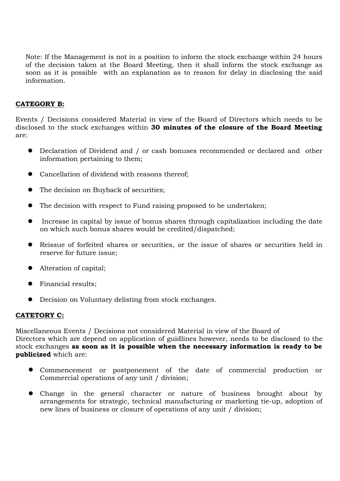Note: If the Management is not in a position to inform the stock exchange within 24 hours of the decision taken at the Board Meeting, then it shall inform the stock exchange as soon as it is possible with an explanation as to reason for delay in disclosing the said information.

# **CATEGORY B:**

Events / Decisions considered Material in view of the Board of Directors which needs to be disclosed to the stock exchanges within **30 minutes of the closure of the Board Meeting** are:

- Declaration of Dividend and / or cash bonuses recommended or declared and other information pertaining to them;
- Cancellation of dividend with reasons thereof;
- The decision on Buyback of securities;
- The decision with respect to Fund raising proposed to be undertaken;
- Increase in capital by issue of bonus shares through capitalization including the date on which such bonus shares would be credited/dispatched;
- Reissue of forfeited shares or securities, or the issue of shares or securities held in reserve for future issue;
- Alteration of capital;
- **•** Financial results;
- Decision on Voluntary delisting from stock exchanges.

### **CATETORY C:**

Miscellaneous Events / Decisions not considered Material in view of the Board of Directors which are depend on application of guidlines however, needs to be disclosed to the stock exchanges **as soon as it is possible when the necessary information is ready to be publicized** which are:

- z Commencement or postponement of the date of commercial production or Commercial operations of any unit / division;
- Change in the general character or nature of business brought about by arrangements for strategic, technical manufacturing or marketing tie-up, adoption of new lines of business or closure of operations of any unit / division;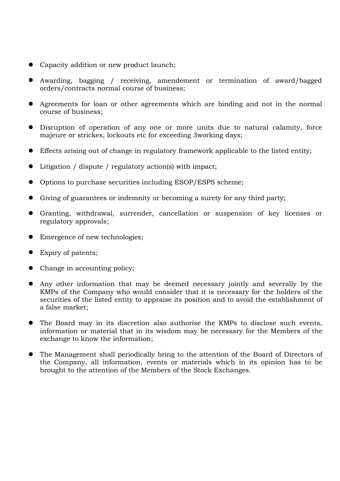- Capacity addition or new product launch;
- Awarding, bagging / receiving, amendement or termination of award/bagged orders/contracts normal course of business;
- Agreements for loan or other agreements which are binding and not in the normal course of business;
- Disruption of operation of any one or more units due to natural calamity, force majeure or strickes, lockouts etc for exceeding 3working days;
- Effects arising out of change in regulatory framework applicable to the listed entity;
- $\bullet$  Litigation / dispute / regulatory action(s) with impact;
- Options to purchase securities including ESOP/ESPS scheme;
- Giving of guarantees or indemnity or becoming a surety for any third party;
- Granting, withdrawal, surrender, cancellation or suspension of key licenses or regulatory approvals;
- Emergence of new technologies;
- Expiry of patents;
- Change in accounting policy;
- Any other information that may be deemed necessary jointly and severally by the KMPs of the Company who would consider that it is necessary for the holders of the securities of the listed entity to appraise its position and to avoid the establishment of a false market;
- The Board may in its discretion also authorise the KMPs to disclose such events, information or material that in its wisdom may be necessary for the Members of the exchange to know the information;
- The Management shall periodically bring to the attention of the Board of Directors of the Company, all information, events or materials which in its opinion has to be brought to the attention of the Members of the Stock Exchanges.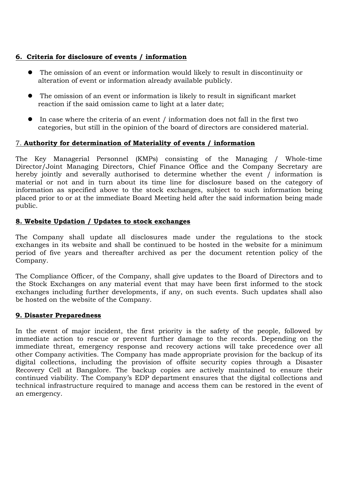### **6. Criteria for disclosure of events / information**

- The omission of an event or information would likely to result in discontinuity or alteration of event or information already available publicly.
- The omission of an event or information is likely to result in significant market reaction if the said omission came to light at a later date;
- $\bullet$  In case where the criteria of an event / information does not fall in the first two categories, but still in the opinion of the board of directors are considered material.

### 7. **Authority for determination of Materiality of events / information**

The Key Managerial Personnel (KMPs) consisting of the Managing / Whole-time Director/Joint Managing Directors, Chief Finance Office and the Company Secretary are hereby jointly and severally authorised to determine whether the event / information is material or not and in turn about its time line for disclosure based on the category of information as specified above to the stock exchanges, subject to such information being placed prior to or at the immediate Board Meeting held after the said information being made public.

### **8. Website Updation / Updates to stock exchanges**

The Company shall update all disclosures made under the regulations to the stock exchanges in its website and shall be continued to be hosted in the website for a minimum period of five years and thereafter archived as per the document retention policy of the Company.

The Compliance Officer, of the Company, shall give updates to the Board of Directors and to the Stock Exchanges on any material event that may have been first informed to the stock exchanges including further developments, if any, on such events. Such updates shall also be hosted on the website of the Company.

### **9. Disaster Preparedness**

In the event of major incident, the first priority is the safety of the people, followed by immediate action to rescue or prevent further damage to the records. Depending on the immediate threat, emergency response and recovery actions will take precedence over all other Company activities. The Company has made appropriate provision for the backup of its digital collections, including the provision of offsite security copies through a Disaster Recovery Cell at Bangalore. The backup copies are actively maintained to ensure their continued viability. The Company's EDP department ensures that the digital collections and technical infrastructure required to manage and access them can be restored in the event of an emergency.